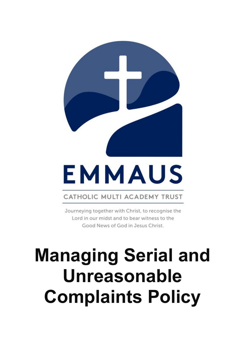

## EMMAUS

## CATHOLIC MULTI ACADEMY TRUST

Journeying together with Christ, to recognise the Lord in our midst and to bear witness to the Good News of God in Jesus Christ.

## **Managing Serial and Unreasonable Complaints Policy**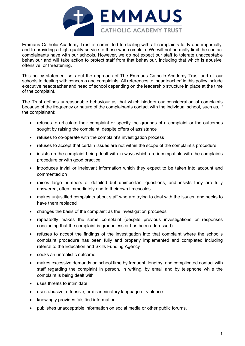

Emmaus Catholic Academy Trust is committed to dealing with all complaints fairly and impartially, and to providing a high-quality service to those who complain. We will not normally limit the contact complainants have with our schools. However, we do not expect our staff to tolerate unacceptable behaviour and will take action to protect staff from that behaviour, including that which is abusive, offensive, or threatening.

This policy statement sets out the approach of The Emmaus Catholic Academy Trust and all our schools to dealing with concerns and complaints. All references to 'headteacher' in this policy include executive headteacher and head of school depending on the leadership structure in place at the time of the complaint.

The Trust defines unreasonable behaviour as that which hinders our consideration of complaints because of the frequency or nature of the complainants contact with the individual school, such as, if the complainant:

- refuses to articulate their complaint or specify the grounds of a complaint or the outcomes sought by raising the complaint, despite offers of assistance
- refuses to co-operate with the complaint's investigation process
- refuses to accept that certain issues are not within the scope of the complaint's procedure
- insists on the complaint being dealt with in ways which are incompatible with the complaints procedure or with good practice
- introduces trivial or irrelevant information which they expect to be taken into account and commented on
- raises large numbers of detailed but unimportant questions, and insists they are fully answered, often immediately and to their own timescales
- makes unjustified complaints about staff who are trying to deal with the issues, and seeks to have them replaced
- changes the basis of the complaint as the investigation proceeds
- repeatedly makes the same complaint (despite previous investigations or responses concluding that the complaint is groundless or has been addressed)
- refuses to accept the findings of the investigation into that complaint where the school's complaint procedure has been fully and properly implemented and completed including referral to the Education and Skills Funding Agency
- seeks an unrealistic outcome
- makes excessive demands on school time by frequent, lengthy, and complicated contact with staff regarding the complaint in person, in writing, by email and by telephone while the complaint is being dealt with
- uses threats to intimidate
- uses abusive, offensive, or discriminatory language or violence
- knowingly provides falsified information
- publishes unacceptable information on social media or other public forums.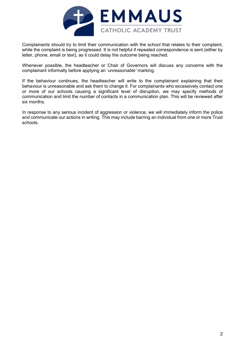

Complainants should try to limit their communication with the school that relates to their complaint, while the complaint is being progressed. It is not helpful if repeated correspondence is sent (either by letter, phone, email or text), as it could delay the outcome being reached.

Whenever possible, the headteacher or Chair of Governors will discuss any concerns with the complainant informally before applying an '*unreasonable'* marking.

If the behaviour continues, the headteacher will write to the complainant explaining that their behaviour is unreasonable and ask them to change it. For complainants who excessively contact one or more of our schools causing a significant level of disruption, we may specify methods of communication and limit the number of contacts in a communication plan. This will be reviewed after six months.

In response to any serious incident of aggression or violence, we will immediately inform the police and communicate our actions in writing. This may include barring an individual from one or more Trust schools.